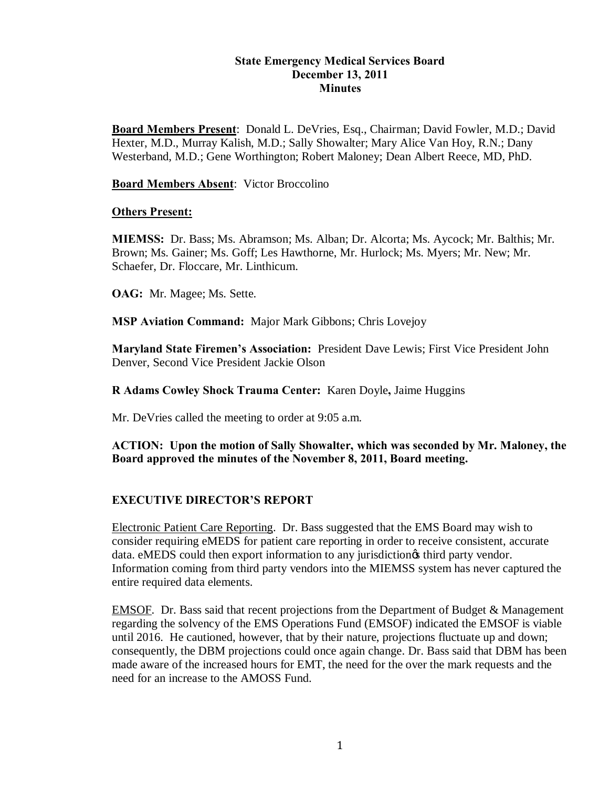#### **State Emergency Medical Services Board December 13, 2011 Minutes**

**Board Members Present**: Donald L. DeVries, Esq., Chairman; David Fowler, M.D.; David Hexter, M.D., Murray Kalish, M.D.; Sally Showalter; Mary Alice Van Hoy, R.N.; Dany Westerband, M.D.; Gene Worthington; Robert Maloney; Dean Albert Reece, MD, PhD.

#### **Board Members Absent**: Victor Broccolino

#### **Others Present:**

**MIEMSS:** Dr. Bass; Ms. Abramson; Ms. Alban; Dr. Alcorta; Ms. Aycock; Mr. Balthis; Mr. Brown; Ms. Gainer; Ms. Goff; Les Hawthorne, Mr. Hurlock; Ms. Myers; Mr. New; Mr. Schaefer, Dr. Floccare, Mr. Linthicum.

**OAG:** Mr. Magee; Ms. Sette.

**MSP Aviation Command:** Major Mark Gibbons; Chris Lovejoy

**Maryland State Firemen's Association:** President Dave Lewis; First Vice President John Denver, Second Vice President Jackie Olson

**R Adams Cowley Shock Trauma Center:** Karen Doyle**,** Jaime Huggins

Mr. DeVries called the meeting to order at 9:05 a.m.

#### **ACTION: Upon the motion of Sally Showalter, which was seconded by Mr. Maloney, the Board approved the minutes of the November 8, 2011, Board meeting.**

### **EXECUTIVE DIRECTOR'S REPORT**

Electronic Patient Care Reporting. Dr. Bass suggested that the EMS Board may wish to consider requiring eMEDS for patient care reporting in order to receive consistent, accurate data. eMEDS could then export information to any jurisdiction to third party vendor. Information coming from third party vendors into the MIEMSS system has never captured the entire required data elements.

EMSOF. Dr. Bass said that recent projections from the Department of Budget & Management regarding the solvency of the EMS Operations Fund (EMSOF) indicated the EMSOF is viable until 2016. He cautioned, however, that by their nature, projections fluctuate up and down; consequently, the DBM projections could once again change. Dr. Bass said that DBM has been made aware of the increased hours for EMT, the need for the over the mark requests and the need for an increase to the AMOSS Fund.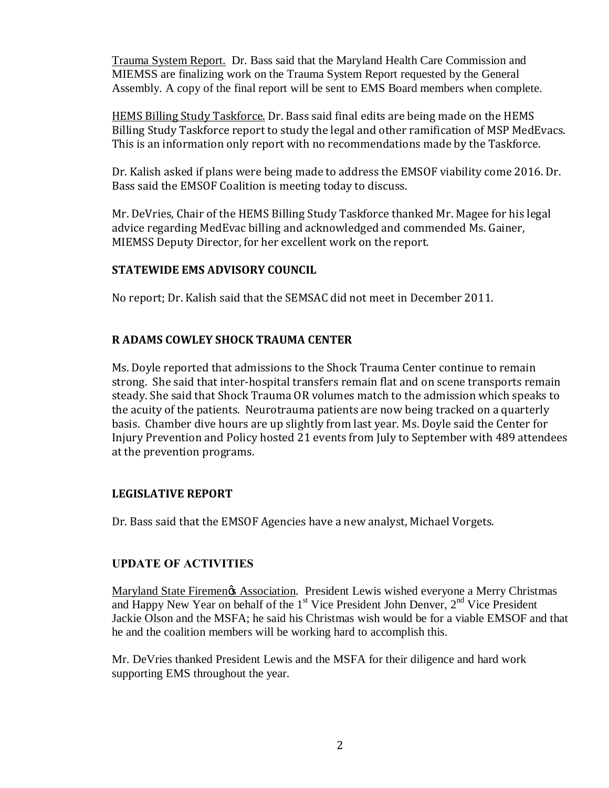Trauma System Report. Dr. Bass said that the Maryland Health Care Commission and MIEMSS are finalizing work on the Trauma System Report requested by the General Assembly. A copy of the final report will be sent to EMS Board members when complete.

HEMS Billing Study Taskforce. Dr. Bass said final edits are being made on the HEMS Billing Study Taskforce report to study the legal and other ramification of MSP MedEvacs. This is an information only report with no recommendations made by the Taskforce.

Dr. Kalish asked if plans were being made to address the EMSOF viability come 2016. Dr. Bass said the EMSOF Coalition is meeting today to discuss.

Mr. DeVries, Chair of the HEMS Billing Study Taskforce thanked Mr. Magee for his legal advice regarding MedEvac billing and acknowledged and commended Ms. Gainer, MIEMSS Deputy Director, for her excellent work on the report.

## **STATEWIDE EMS ADVISORY COUNCIL**

No report; Dr. Kalish said that the SEMSAC did not meet in December 2011.

# **R ADAMS COWLEY SHOCK TRAUMA CENTER**

Ms. Doyle reported that admissions to the Shock Trauma Center continue to remain strong. She said that inter-hospital transfers remain flat and on scene transports remain steady. She said that Shock Trauma OR volumes match to the admission which speaks to the acuity of the patients. Neurotrauma patients are now being tracked on a quarterly basis. Chamber dive hours are up slightly from last year. Ms. Doyle said the Center for Injury Prevention and Policy hosted 21 events from July to September with 489 attendees at the prevention programs.

# **LEGISLATIVE REPORT**

Dr. Bass said that the EMSOF Agencies have a new analyst, Michael Vorgets.

# **UPDATE OF ACTIVITIES**

Maryland State Firemen's Association. President Lewis wished everyone a Merry Christmas and Happy New Year on behalf of the  $1<sup>st</sup>$  Vice President John Denver,  $2<sup>nd</sup>$  Vice President Jackie Olson and the MSFA; he said his Christmas wish would be for a viable EMSOF and that he and the coalition members will be working hard to accomplish this.

Mr. DeVries thanked President Lewis and the MSFA for their diligence and hard work supporting EMS throughout the year.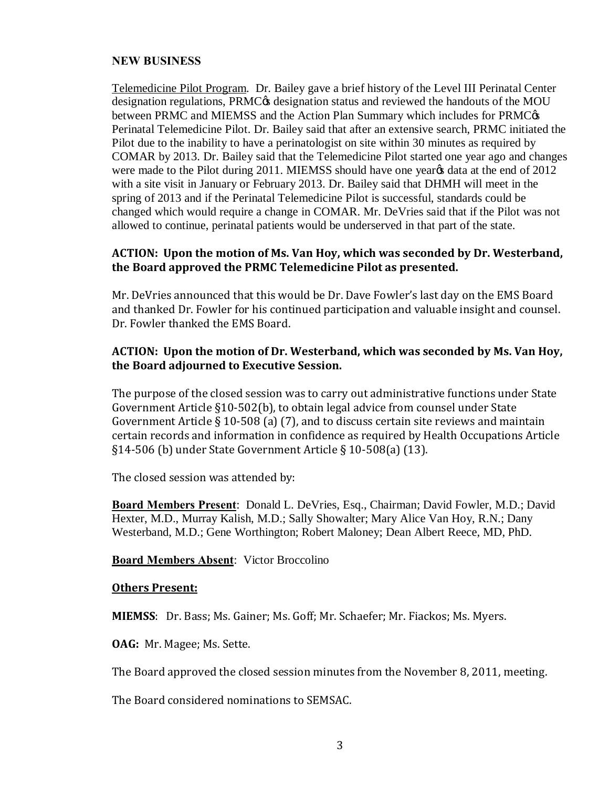#### **NEW BUSINESS**

Telemedicine Pilot Program. Dr. Bailey gave a brief history of the Level III Perinatal Center designation regulations, PRMC $\alpha$  designation status and reviewed the handouts of the MOU between PRMC and MIEMSS and the Action Plan Summary which includes for PRMC $\alpha$ Perinatal Telemedicine Pilot. Dr. Bailey said that after an extensive search, PRMC initiated the Pilot due to the inability to have a perinatologist on site within 30 minutes as required by COMAR by 2013. Dr. Bailey said that the Telemedicine Pilot started one year ago and changes were made to the Pilot during 2011. MIEMSS should have one yearged at a at the end of 2012 with a site visit in January or February 2013. Dr. Bailey said that DHMH will meet in the spring of 2013 and if the Perinatal Telemedicine Pilot is successful, standards could be changed which would require a change in COMAR. Mr. DeVries said that if the Pilot was not allowed to continue, perinatal patients would be underserved in that part of the state.

### **ACTION: Upon the motion of Ms. Van Hoy, which was seconded by Dr. Westerband, the Board approved the PRMC Telemedicine Pilot as presented.**

Mr. DeVries announced that this would be Dr. Dave Fowler's last day on the EMS Board and thanked Dr. Fowler for his continued participation and valuable insight and counsel. Dr. Fowler thanked the EMS Board.

### **ACTION: Upon the motion of Dr. Westerband, which was seconded by Ms. Van Hoy, the Board adjourned to Executive Session.**

The purpose of the closed session was to carry out administrative functions under State Government Article §10-502(b), to obtain legal advice from counsel under State Government Article § 10-508 (a) (7), and to discuss certain site reviews and maintain certain records and information in confidence as required by Health Occupations Article §14-506 (b) under State Government Article § 10-508(a) (13).

The closed session was attended by:

**Board Members Present**: Donald L. DeVries, Esq., Chairman; David Fowler, M.D.; David Hexter, M.D., Murray Kalish, M.D.; Sally Showalter; Mary Alice Van Hoy, R.N.; Dany Westerband, M.D.; Gene Worthington; Robert Maloney; Dean Albert Reece, MD, PhD.

#### **Board Members Absent**: Victor Broccolino

#### **Others Present:**

**MIEMSS**: Dr. Bass; Ms. Gainer; Ms. Goff; Mr. Schaefer; Mr. Fiackos; Ms. Myers.

**OAG:** Mr. Magee; Ms. Sette.

The Board approved the closed session minutes from the November 8, 2011, meeting.

The Board considered nominations to SEMSAC.